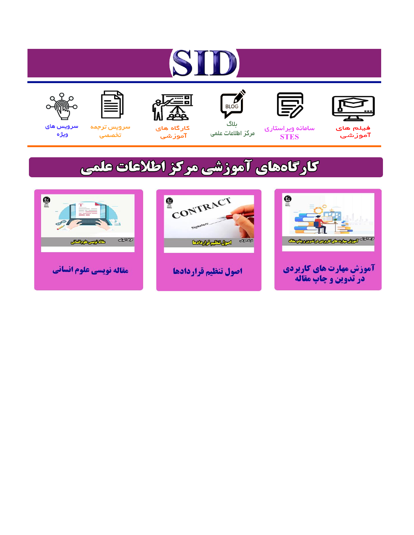# ST











ىلاگ



مرکز اطلاعات علمی

 $\frac{1}{\sqrt{\frac{1}{100}}}$ 

Cologie Legislation

کارگاه های آموزشي

空

ققق

 $\begin{matrix} \textcircled{\footnotesize{A}}\\ \textcircled{\footnotesize{B}} \end{matrix}$ 

سرويس ترجمه تخصصى



سرویس های ويژه

كارگاههای آموزشی مركز اطلاعات علمی

CONTRACT

اصول تنظيم قراردادها



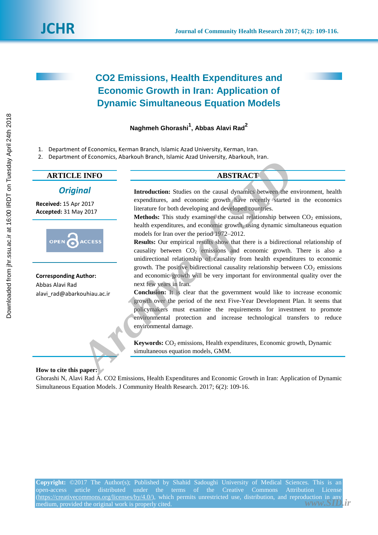# **CO2 Emissions, Health Expenditures and Economic Growth in Iran: Application of Dynamic Simultaneous Equation Models**

# **Naghmeh Ghorashi<sup>1</sup> , Abbas Alavi Rad<sup>2</sup>**

- 1. Department of Economics, Kerman Branch, Islamic Azad University, Kerman, Iran.
- 2. Department of Economics, Abarkouh Branch, Islamic Azad University, Abarkouh, Iran.

## **ARTICLE INFO ABSTRACT**

### *Original*

**Received:** 15 Apr 2017 **Accepted:** 31 May 2017



**Corresponding Author:** Abbas Alavi Rad alavi\_rad@abarkouhiau.ac.ir

**Introduction:** Studies on the causal dynamics between the environment, health expenditures, and economic growth have recently started in the economics literature for both developing and developed countries.

**Methods:** This study examines the causal relationship between  $CO<sub>2</sub>$  emissions, health expenditures, and economic growth, using dynamic simultaneous equation models for Iran over the period 1972–2012.

**Results:** Our empirical results show that there is a bidirectional relationship of causality between  $CO<sub>2</sub>$  emissions and economic growth. There is also a unidirectional relationship of causality from health expenditures to economic growth. The positive bidirectional causality relationship between  $CO<sub>2</sub>$  emissions and economic growth will be very important for environmental quality over the next few years in Iran. **E INFO**<br> **ARSTRACT**<br> **ARSTRACT**<br> **ARSTRACT**<br> **ARSTRACT**<br> **ARSTRACT**<br> **ARSTRACT**<br> **ARSTRACT**<br> **ARSTRACT**<br> **ARTIFICATION**<br> **ARTIFICATION**<br> **ARTIFICATION**<br> **ARTIFICATION**<br> **ARTIFICATION**<br> **ARTIFICATION**<br> **ARTIFICATION**<br> **ART** 

**Conclusion:** It is clear that the government would like to increase economic growth over the period of the next Five-Year Development Plan. It seems that policymakers must examine the requirements for investment to promote environmental protection and increase technological transfers to reduce environmental damage.

**Keywords:** CO<sub>2</sub> emissions, Health expenditures, Economic growth, Dynamic simultaneous equation models, GMM.

### **How to cite this paper:**

Ghorashi N, Alavi Rad A. CO2 Emissions, Health Expenditures and Economic Growth in Iran: Application of Dynamic Simultaneous Equation Models. J Community Health Research. 2017; 6(2): 109-16.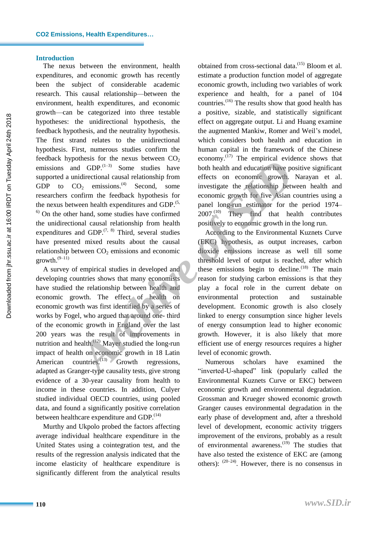#### **Introduction**

The nexus between the environment, health expenditures, and economic growth has recently been the subject of considerable academic research. This causal relationship—between the environment, health expenditures, and economic growth—can be categorized into three testable hypotheses: the unidirectional hypothesis, the feedback hypothesis, and the neutrality hypothesis. The first strand relates to the unidirectional hypothesis. First, numerous studies confirm the feedback hypothesis for the nexus between  $CO<sub>2</sub>$ emissions and  $GDP$ .<sup> $(1-3)$ </sup> Some studies have supported a unidirectional causal relationship from GDP to  $CO_2$  emissions.<sup>(4)</sup> Second, some researchers confirm the feedback hypothesis for the nexus between health expenditures and GDP.<sup>(5,</sup>  $<sup>6)</sup>$  On the other hand, some studies have confirmed</sup> the unidirectional causal relationship from health expenditures and GDP. $(7, 8)$  Third, several studies have presented mixed results about the causal relationship between  $CO<sub>2</sub>$  emissions and economic  $growth.<sup>(9-11)</sup>$ 

A survey of empirical studies in developed and developing countries shows that many economists have studied the relationship between health and economic growth. The effect of health on economic growth was first identified by a series of works by Fogel, who argued that around one- third of the economic growth in England over the last 200 years was the result of improvements in nutrition and health.<sup>(12)</sup> Mayer studied the long-run impact of health on economic growth in 18 Latin American countries.<sup>(13)</sup> Growth regressions, adapted as Granger-type causality tests, give strong evidence of a 30-year causality from health to income in these countries. In addition, Culyer studied individual OECD countries, using pooled data, and found a significantly positive correlation between healthcare expenditure and GDP.<sup>(14)</sup>

Murthy and Ukpolo probed the factors affecting average individual healthcare expenditure in the United States using a cointegration test, and the results of the regression analysis indicated that the income elasticity of healthcare expenditure is significantly different from the analytical results

obtained from cross-sectional data.<sup>(15)</sup> Bloom et al. estimate a production function model of aggregate economic growth, including two variables of work experience and health, for a panel of 104 countries. (16) The results show that good health has a positive, sizable, and statistically significant effect on aggregate output. Li and Huang examine the augmented Mankiw, Romer and Weil's model, which considers both health and education in human capital in the framework of the Chinese economy.<sup>(17)</sup> The empirical evidence shows that both health and education have positive significant effects on economic growth. Narayan et al. investigate the relationship between health and economic growth for five Asian countries using a panel long-run estimator for the period 1974– 2007.<sup>(10)</sup> They find that health contributes positively to economic growth in the long run.

According to the Environmental Kuznets Curve (EKC) hypothesis, as output increases, carbon dioxide emissions increase as well till some threshold level of output is reached, after which these emissions begin to decline.<sup>(18)</sup> The main reason for studying carbon emissions is that they play a focal role in the current debate on environmental protection and sustainable development. Economic growth is also closely linked to energy consumption since higher levels of energy consumption lead to higher economic growth. However, it is also likely that more efficient use of energy resources requires a higher level of economic growth. *Archive in that is between* Contains to the lattern with the ending of the main contains of the the studies have both health and education have point infirm the feedback hypothesis for economic growth for five Asian of th

Numerous scholars have examined the "inverted-U-shaped" link (popularly called the Environmental Kuznets Curve or EKC) between economic growth and environmental degradation. Grossman and Krueger showed economic growth Granger causes environmental degradation in the early phase of development and, after a threshold level of development, economic activity triggers improvement of the environs, probably as a result of environmental awareness.<sup>(19)</sup> The studies that have also tested the existence of EKC are (among others):  $(20-24)$ . However, there is no consensus in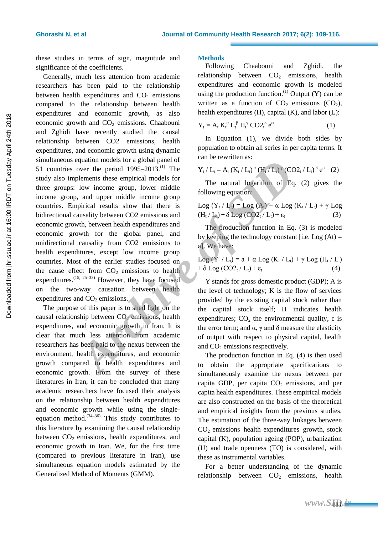these studies in terms of sign, magnitude and significance of the coefficients.

Generally, much less attention from academic researchers has been paid to the relationship between health expenditures and  $CO<sub>2</sub>$  emissions compared to the relationship between health expenditures and economic growth, as also economic growth and  $CO<sub>2</sub>$  emissions. Chaabouni and Zghidi have recently studied the causal relationship between CO2 emissions, health expenditures, and economic growth using dynamic simultaneous equation models for a global panel of 51 countries over the period  $1995-2013$ .<sup>(1)</sup> The study also implements these empirical models for three groups: low income group, lower middle income group, and upper middle income group countries. Empirical results show that there is bidirectional causality between CO2 emissions and economic growth, between health expenditures and economic growth for the global panel, and unidirectional causality from CO2 emissions to health expenditures, except low income group countries. Most of the earlier studies focused on the cause effect from  $CO<sub>2</sub>$  emissions to health expenditures.  $(15, 25-33)$  However, they have focused on the two-way causation between health expenditures and  $CO<sub>2</sub>$  emissions. equation models for a good pate of the prioride interval to be the prioride to heater being the empirical models for<br> *Archive of the matural logarithm* of Equivalent states empirical models for<br> *Archive of 295-2013.<sup>(1)*</sup>

The purpose of this paper is to shed light on the causal relationship between  $CO<sub>2</sub>$  emissions, health expenditures, and economic growth in Iran. It is clear that much less attention from academic researchers has been paid to the nexus between the environment, health expenditures, and economic growth compared to health expenditures and economic growth. From the survey of these literatures in Iran, it can be concluded that many academic researchers have focused their analysis on the relationship between health expenditures and economic growth while using the singleequation method.  $(34-36)$  This study contributes to this literature by examining the causal relationship between  $CO<sub>2</sub>$  emissions, health expenditures, and economic growth in Iran. We, for the first time (compared to previous literature in Iran), use simultaneous equation models estimated by the Generalized Method of Moments (GMM).

#### **Methods**

Following Chaabouni and Zghidi, the relationship between  $CO<sub>2</sub>$  emissions, health expenditures and economic growth is modeled using the production function.<sup>(1)</sup> Output  $(Y)$  can be written as a function of  $CO<sub>2</sub>$  emissions  $(CO<sub>2</sub>)$ , health expenditures (H), capital (K), and labor (L):

$$
Y_t = A_t K_t^{\alpha} L_t^{\beta} H_t^{\gamma} CO2_t^{\delta} e^{\epsilon t}
$$
 (1)

In Equation (1), we divide both sides by population to obtain all series in per capita terms. It can be rewritten as:

$$
Y_t / L_t = A_t (K_t / L_t)^\alpha (H_t / L_t)^\gamma (CO2_t / L_t)^\delta e^{ct} (2)
$$

The natural logarithm of Eq. (2) gives the following equation:

$$
\begin{array}{l} \text{Log }(Y_t \mid L_t) = \text{Log }(A_t) + \alpha \text{ Log }(K_t \mid L_t) + \gamma \text{ Log }\\ (H_t \mid L_t) + \delta \text{ Log }(\text{CO2}_t \mid L_t) + \epsilon_t \end{array} \tag{3}
$$

The production function in Eq. (3) is modeled by keeping the technology constant [i.e.  $Log (At) =$ a]. We have:

$$
Log (Y_t / L_t) = a + \alpha Log (K_t / L_t) + \gamma Log (H_t / L_t)
$$
  
+  $\delta Log (CO2_t / L_t) + \varepsilon_t$  (4)

Y stands for gross domestic product (GDP); A is the level of technology; K is the flow of services provided by the existing capital stock rather than the capital stock itself; H indicates health expenditures;  $CO<sub>2</sub>$  the environmental quality,  $\varepsilon$  is the error term; and  $\alpha$ , γ and δ measure the elasticity of output with respect to physical capital, health and  $CO<sub>2</sub>$  emissions respectively.

The production function in Eq. (4) is then used to obtain the appropriate specifications to simultaneously examine the nexus between per capita GDP, per capita  $CO<sub>2</sub>$  emissions, and per capita health expenditures. These empirical models are also constructed on the basis of the theoretical and empirical insights from the previous studies. The estimation of the three-way linkages between  $CO<sub>2</sub>$  emissions–health expenditures–growth, stock capital (K), population ageing (POP), urbanization (U) and trade openness (TO) is considered, with these as instrumental variables.

For a better understanding of the dynamic relationship between  $CO<sub>2</sub>$  emissions, health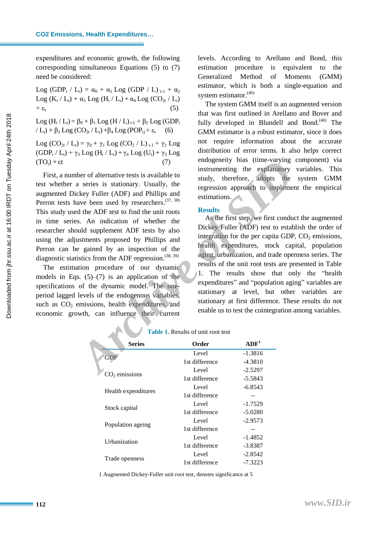expenditures and economic growth, the following corresponding simultaneous Equations (5) to (7) need be considered:

Log (GDP<sub>t</sub> / L<sub>t</sub>) =  $\alpha_0 + \alpha_1$  Log (GDP / L)  $_{t-1} + \alpha_2$ Log (K<sub>t</sub> / L<sub>t</sub>) +  $\alpha_3$  Log (H<sub>t</sub> / L<sub>t</sub>) +  $\alpha_4$  Log (CO<sub>2t</sub> / L<sub>t</sub>)  $+ \varepsilon_{t}$  (5)

Log (H<sub>t</sub> / L<sub>t</sub>) = β<sub>0</sub> + β<sub>1</sub> Log (H / L)<sub>t-1</sub> + β<sub>2</sub> Log (GDP<sub>t</sub>  $/L_t$ ) +  $\beta_3$  Log (CO<sub>2t</sub> / L<sub>t</sub>) +  $\beta_4$  Log (POP<sub>t</sub>) +  $\varepsilon_t$ 

Log  $(CO_{2t} / L_t) = \gamma_0 + \gamma_1 Log (CO_2 / L)_{t-1} + \gamma_2 Log$  $(GDP_t / L_t) + \gamma_3 Log (H_t / L_t) + \gamma_4 Log (U_t) + \gamma_5 Log$  $(TO_t) + \varepsilon t$  (7)

First, a number of alternative tests is available to test whether a series is stationary. Usually, the augmented Dickey Fuller (ADF) and Phillips and Perron tests have been used by researchers.  $(37, 38)$ This study used the ADF test to find the unit roots in time series. An indication of whether the researcher should supplement ADF tests by also using the adjustments proposed by Phillips and Perron can be gained by an inspection of the diagnostic statistics from the ADF regression.  $(38, 39)$ 

The estimation procedure of our dynamic models in Eqs.  $(5)$ – $(7)$  is an application of the specifications of the dynamic model. The oneperiod lagged levels of the endogenous variables, such as  $CO<sub>2</sub>$  emissions, health expenditures, and economic growth, can influence their current

levels. According to Arellano and Bond, this estimation procedure is equivalent to the Generalized Method of Moments (GMM) estimator, which is both a single-equation and system estimator.<sup>(40)</sup>

The system GMM itself is an augmented version that was first outlined in Arellano and Bover and fully developed in Blundell and Bond.<sup>(40)</sup> The GMM estimator is a robust estimator, since it does not require information about the accurate distribution of error terms. It also helps correct endogeneity bias (time-varying component) via instrumenting the explanatory variables. This study, therefore, adopts the system GMM regression approach to implement the empirical estimations.

#### **Results**

As the first step, we first conduct the augmented Dickey Fuller (ADF) test to establish the order of integration for the per capita GDP,  $CO<sub>2</sub>$  emissions, health expenditures, stock capital, population aging, urbanization, and trade openness series. The results of the unit root tests are presented in Table 1. The results show that only the "health expenditures" and "population aging" variables are stationary at level, but other variables are stationary at first difference. These results do not enable us to test the cointegration among variables. (7) enoting the value value value value value of alternative tests is available to instrumenting the explanatory instrumenting the explanator seckey Fuller (ADF) and Phillips and expression approach to impleme ave been use

| <b>Series</b>                 | Order          | ADF <sup>1</sup> |
|-------------------------------|----------------|------------------|
| <b>GDP</b><br>$CO2$ emissions | Level          | $-1.3816$        |
|                               | 1st difference | $-4.3810$        |
|                               | Level          | $-2.5297$        |
|                               | 1st difference | $-5.5843$        |
| Health expenditures           | Level          | $-6.8543$        |
|                               | 1st difference |                  |
| Stock capital                 | Level          | $-1.7529$        |
|                               | 1st difference | $-5.0280$        |
|                               | Level          | $-2.9573$        |
| Population ageing             | 1st difference |                  |
| Urbanization                  | Level          | $-1.4852$        |
|                               | 1st difference | -3.8387          |
| Trade openness                | Level          | $-2.8542$        |
|                               | 1st difference | $-7.3223$        |

#### **Table 1.** Results of unit root test

1 Augmented Dickey-Fuller unit root test, denotes significance at 5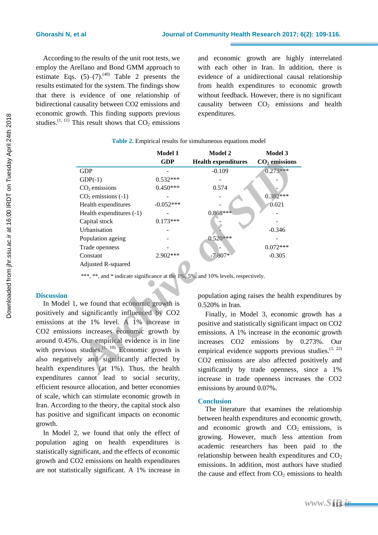According to the results of the unit root tests, we employ the Arellano and Bond GMM approach to estimate Eqs.  $(5)-(7)$ .<sup>(40)</sup> Table 2 presents the results estimated for the system. The findings show that there is evidence of one relationship of bidirectional causality between CO2 emissions and economic growth. This finding supports previous studies.<sup>(1, 11)</sup> This result shows that  $CO<sub>2</sub>$  emissions and economic growth are highly interrelated with each other in Iran. In addition, there is evidence of a unidirectional causal relationship from health expenditures to economic growth without feedback. However, there is no significant causality between  $CO<sub>2</sub>$  emissions and health expenditures.

|                                                                                                      | <b>Model 1</b><br><b>GDP</b> | <b>Model 2</b><br><b>Health expenditures</b> | Model 3<br>$CO2$ emissions    |
|------------------------------------------------------------------------------------------------------|------------------------------|----------------------------------------------|-------------------------------|
| <b>GDP</b>                                                                                           |                              | $-0.109$                                     | $0.273***$                    |
| $GDP(-1)$                                                                                            | $0.532***$                   |                                              |                               |
| $CO2$ emissions                                                                                      | $0.450***$                   | 0.574                                        |                               |
| $CO2$ emissions (-1)                                                                                 |                              |                                              | $0.382***$                    |
| Health expenditures                                                                                  | $-0.052***$                  |                                              | 0.021                         |
| Health expenditures (-1)                                                                             |                              | $0.868***$                                   |                               |
| Capital stock                                                                                        | $0.173***$                   |                                              |                               |
| Urbanisation                                                                                         |                              |                                              | $-0.346$                      |
| Population ageing                                                                                    |                              | $0.520***$                                   |                               |
| Trade openness                                                                                       |                              |                                              | $0.072***$                    |
| Constant                                                                                             | 2.902***                     | $-7.807*$                                    | $-0.305$                      |
| Adjusted R-squared                                                                                   |                              |                                              |                               |
|                                                                                                      |                              |                                              |                               |
| ***, **, and * indicate significance at the 1%, 5%, and 10% levels, respectively.                    |                              |                                              |                               |
|                                                                                                      |                              |                                              |                               |
|                                                                                                      |                              | population aging raises the health ex        |                               |
| , we found that economic growth is                                                                   |                              | 0.520% in Iran.                              |                               |
| d significantly influenced by CO2                                                                    |                              |                                              | Finally, in Model 3, economic |
| the 1% level. A 1% increase in                                                                       |                              | positive and statistically significant i     |                               |
| ons increases economic growth by                                                                     |                              | emissions. A 1% increase in the eco          |                               |
| 6. Our empirical evidence is in line                                                                 |                              |                                              |                               |
| s studies. $(1, 10)$ Economic growth is                                                              |                              | increases CO2 emissions                      | by                            |
|                                                                                                      |                              | empirical evidence supports previou          |                               |
| ely and significantly affected by                                                                    |                              | CO2 emissions are also affected              |                               |
| ditures (at 1%). Thus, the health<br>$\mathbf{1}$ and $\mathbf{1}$ and $\mathbf{1}$ and $\mathbf{1}$ |                              | significantly by trade openness,             |                               |
|                                                                                                      |                              |                                              |                               |

#### **Table 2.** Empirical results for simultaneous equations model

### **Discussion**

In Model 1, we found that economic growth is positively and significantly influenced by CO2 emissions at the 1% level. A 1% increase in CO2 emissions increases economic growth by around 0.45%. Our empirical evidence is in line with previous studies.  $(1, 10)$  Economic growth is also negatively and significantly affected by health expenditures (at 1%). Thus, the health expenditures cannot lead to social security, efficient resource allocation, and better economies of scale, which can stimulate economic growth in Iran. According to the theory, the capital stock also has positive and significant impacts on economic growth.

In Model 2, we found that only the effect of population aging on health expenditures is statistically significant, and the effects of economic growth and CO2 emissions on health expenditures are not statistically significant. A 1% increase in population aging raises the health expenditures by 0.520% in Iran.

Finally, in Model 3, economic growth has a positive and statistically significant impact on CO2 emissions. A 1% increase in the economic growth increases CO2 emissions by 0.273%. Our empirical evidence supports previous studies.<sup>(1, 22)</sup> CO2 emissions are also affected positively and significantly by trade openness, since a 1% increase in trade openness increases the CO2 emissions by around 0.07%.

#### **Conclusion**

The literature that examines the relationship between health expenditures and economic growth, and economic growth and  $CO<sub>2</sub>$  emissions, is growing. However, much less attention from academic researchers has been paid to the relationship between health expenditures and  $CO<sub>2</sub>$ emissions. In addition, most authors have studied the cause and effect from  $CO<sub>2</sub>$  emissions to health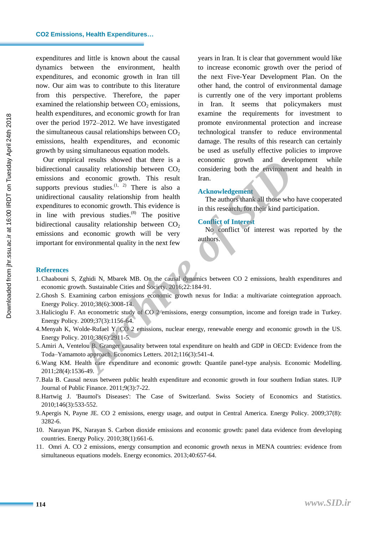#### **CO2 Emissions, Health Expenditures…**

expenditures and little is known about the causal dynamics between the environment, health expenditures, and economic growth in Iran till now. Our aim was to contribute to this literature from this perspective. Therefore, the paper examined the relationship between  $CO<sub>2</sub>$  emissions, health expenditures, and economic growth for Iran over the period 1972–2012. We have investigated the simultaneous causal relationships between  $CO<sub>2</sub>$ emissions, health expenditures, and economic growth by using simultaneous equation models.

Our empirical results showed that there is a bidirectional causality relationship between  $CO<sub>2</sub>$ emissions and economic growth. This result supports previous studies. $(1, 2)$  There is also a unidirectional causality relationship from health expenditures to economic growth. This evidence is in line with previous studies.<sup>(8)</sup> The positive bidirectional causality relationship between  $CO<sub>2</sub>$ emissions and economic growth will be very important for environmental quality in the next few Examistanting in the state of Co<sub>2</sub> enhances an extra decorations of deconomic growth and development<br> *Acknowledgement*<br> *Archive of decorations in this research, for their kind particular considering both the environment* 

years in Iran. It is clear that government would like to increase economic growth over the period of the next Five-Year Development Plan. On the other hand, the control of environmental damage is currently one of the very important problems in Iran. It seems that policymakers must examine the requirements for investment to promote environmental protection and increase technological transfer to reduce environmental damage. The results of this research can certainly be used as usefully effective policies to improve economic growth and development while considering both the environment and health in Iran.

#### **Acknowledgement**

The authors thank all those who have cooperated in this research, for their kind participation.

#### **Conflict of Interest**

No conflict of interest was reported by the authors.

#### **References**

- 1.Chaabouni S, Zghidi N, Mbarek MB. On the causal dynamics between CO 2 emissions, health expenditures and economic growth. Sustainable Cities and Society. 2016;22:184-91.
- 2.Ghosh S. Examining carbon emissions economic growth nexus for India: a multivariate cointegration approach. Energy Policy. 2010;38(6):3008-14.
- 3.Halicioglu F. An econometric study of CO 2 emissions, energy consumption, income and foreign trade in Turkey. Energy Policy. 2009;37(3):1156-64.
- 4.Menyah K, Wolde-Rufael Y. CO 2 emissions, nuclear energy, renewable energy and economic growth in the US. Energy Policy. 2010;38(6):2911-5.
- 5.Amiri A, Ventelou B. Granger causality between total expenditure on health and GDP in OECD: Evidence from the Toda–Yamamoto approach. Economics Letters. 2012;116(3):541-4.
- 6.Wang KM. Health care expenditure and economic growth: Quantile panel-type analysis. Economic Modelling. 2011;28(4):1536-49.
- 7.Bala B. Causal nexus between public health expenditure and economic growth in four southern Indian states. IUP Journal of Public Finance. 2011;9(3):7-22.
- 8.Hartwig J. 'Baumol's Diseases': The Case of Switzerland. Swiss Society of Economics and Statistics. 2010;146(3):533-552.
- 9.Apergis N, Payne JE. CO 2 emissions, energy usage, and output in Central America. Energy Policy. 2009;37(8): 3282-6.
- 10. Narayan PK, Narayan S. Carbon dioxide emissions and economic growth: panel data evidence from developing countries. Energy Policy. 2010;38(1):661-6.
- 11. Omri A. CO 2 emissions, energy consumption and economic growth nexus in MENA countries: evidence from simultaneous equations models. Energy economics. 2013;40:657-64.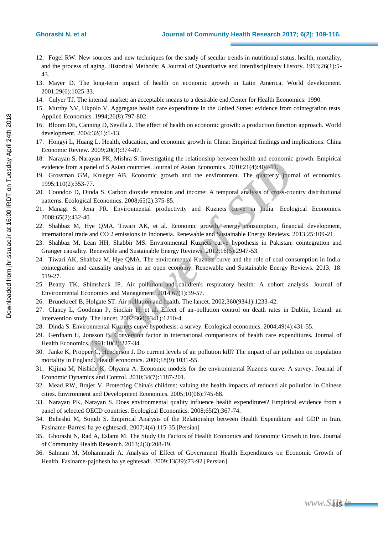- 12. Fogel RW. New sources and new techniques for the study of secular trends in nutritional status, health, mortality, and the process of aging. Historical Methods: A Journal of Quantitative and Interdisciplinary History. 1993;26(1):5- 43.
- 13. Mayer D. The long-term impact of health on economic growth in Latin America. World development. 2001;29(6):1025-33.
- 14. Culyer TJ. The internal market: an acceptable means to a desirable end.Center for Health Economics: 1990.
- 15. Murthy NV, Ukpolo V. Aggregate health care expenditure in the United States: evidence from cointegration tests. Applied Economics. 1994;26(8):797-802.
- 16. Bloom DE, Canning D, Sevilla J. The effect of health on economic growth: a production function approach. World development. 2004;32(1):1-13.
- 17. Hongyi L, Huang L. Health, education, and economic growth in China: Empirical findings and implications. China Economic Review. 2009;20(3):374-87.
- 18. Narayan S, Narayan PK, Mishra S. Investigating the relationship between health and economic growth: Empirical evidence from a panel of 5 Asian countries. Journal of Asian Economics. 2010;21(4):404-11.
- 19. Grossman GM, Krueger AB. Economic growth and the environment. The quarterly journal of economics. 1995;110(2):353-77.
- 20. Coondoo D, Dinda S. Carbon dioxide emission and income: A temporal analysis of cross-country distributional patterns. Ecological Economics. 2008;65(2):375-85.
- 21. Managi S, Jena PR. Environmental productivity and Kuznets curve in India. Ecological Economics. 2008;65(2):432-40.
- 22. Shahbaz M, Hye QMA, Tiwari AK, et al. Economic growth, energy consumption, financial development, international trade and CO 2 emissions in Indonesia. Renewable and Sustainable Energy Reviews. 2013;25:109-21.
- 23. Shahbaz M, Lean HH, Shabbir MS. Environmental Kuznets curve hypothesis in Pakistan: cointegration and Granger causality. Renewable and Sustainable Energy Reviews. 2012;16(5):2947-53.
- 24. Tiwari AK, Shahbaz M, Hye QMA. The environmental Kuznets curve and the role of coal consumption in India: cointegration and causality analysis in an open economy. Renewable and Sustainable Energy Reviews. 2013; 18: 519-27. **Example 12 Archive of SIMP (and SID** and SIMP) content at a panel of S Asian countries, Journal of Asian Economics, 2000;21(4):404-11.<br>
GM, Krueger AB. Economic growth and the environment. The quarterly journal of SAsia
- 25. Beatty TK, Shimshack JP. Air pollution and children's respiratory health: A cohort analysis. Journal of Environmental Economics and Management. 2014;67(1):39-57.
- 26. Brunekreef B, Holgate ST. Air pollution and health. The lancet. 2002;360(9341):1233-42.
- 27. Clancy L, Goodman P, Sinclair H, et al. Effect of air-pollution control on death rates in Dublin, Ireland: an intervention study. The lancet. 2002;360(9341):1210-4.
- 28. Dinda S. Environmental Kuznets curve hypothesis: a survey. Ecological economics. 2004;49(4):431-55.
- 29. Gerdham U, Jonsson B. Conversion factor in international comparisons of health care expenditures. Journal of Health Economics. 1991;10(2):227-34.
- 30. Janke K, Propper C, Henderson J. Do current levels of air pollution kill? The impact of air pollution on population mortality in England. Health economics. 2009;18(9):1031-55.
- 31. Kijima M, Nishide K, Ohyama A. Economic models for the environmental Kuznets curve: A survey. Journal of Economic Dynamics and Control. 2010;34(7):1187-201.
- 32. Mead RW, Brajer V. Protecting China's children: valuing the health impacts of reduced air pollution in Chinese cities. Environment and Development Economics. 2005;10(06):745-68.
- 33. Narayan PK, Narayan S. Does environmental quality influence health expenditures? Empirical evidence from a panel of selected OECD countries. Ecological Economics. 2008;65(2):367-74.
- 34. Beheshti M, Sojudi S. Empirical Analysis of the Relationship between Health Expenditure and GDP in Iran. Faslname‐Barresi ha ye eghtesadi. 2007;4(4):115-35.[Persian]
- 35. Ghorashi N, Rad A, Eslami M. The Study On Factors of Health Economics and Economic Growth in Iran. Journal of Community Health Research. 2013;2(3):208-19.
- 36. Salmani M, Mohammadi A. Analysis of Effect of Government Health Expenditures on Economic Growth of Health. Faslname‐pajohesh ha ye eghtesadi. 2009;13(39):73-92.[Persian]

[Downloaded from jhr.ssu.ac.ir at 16:00 IRDT on Tuesday April 24th 2018](http://jhr.ssu.ac.ir/article-1-360-en.html)

Downloaded from jhr.ssu.ac.ir at 16:00 IRDT on Tuesday April 24th 2018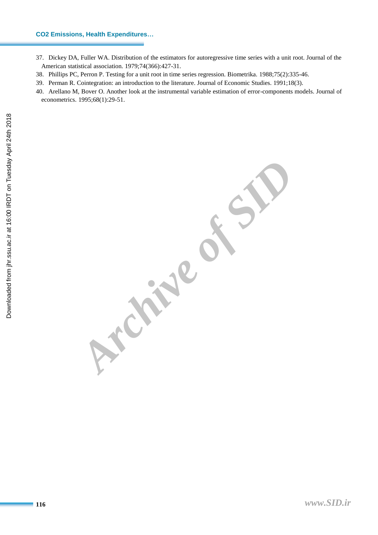#### **CO2 Emissions, Health Expenditures…**

- 37. Dickey DA, Fuller WA. Distribution of the estimators for autoregressive time series with a unit root. Journal of the American statistical association. 1979;74(366):427-31.
- 38. Phillips PC, Perron P. Testing for a unit root in time series regression. Biometrika. 1988;75(2):335-46.

**Archive of SID** 

- 39. Perman R. Cointegration: an introduction to the literature. Journal of Economic Studies. 1991;18(3).
- 40. Arellano M, Bover O. Another look at the instrumental variable estimation of error-components models. Journal of econometrics. 1995;68(1):29-51.

*www.SID.ir*